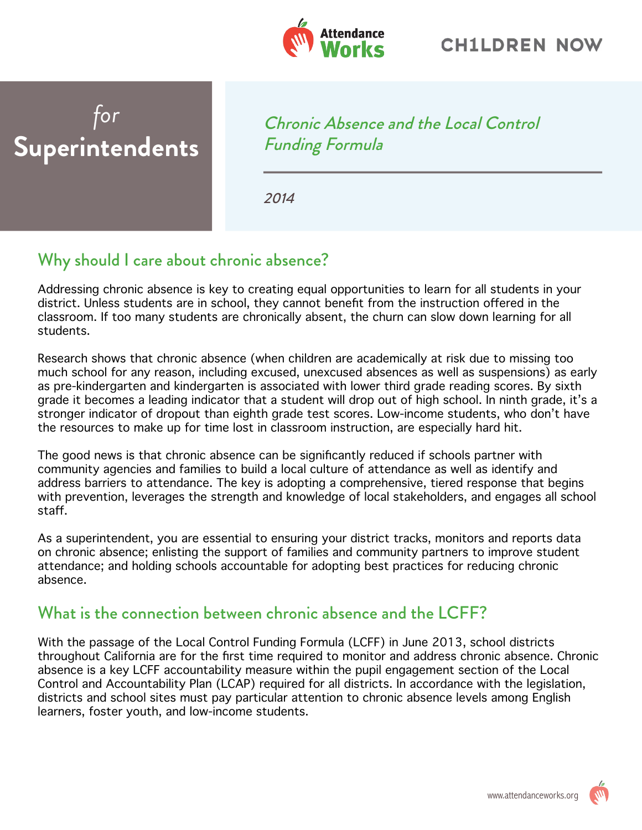

## *for* **Superintendents**

Chronic Absence and the Local Control Funding Formula

2014

## Why should I care about chronic absence?

Addressing chronic absence is key to creating equal opportunities to learn for all students in your district. Unless students are in school, they cannot benefit from the instruction offered in the classroom. If too many students are chronically absent, the churn can slow down learning for all students.

Research shows that chronic absence (when children are academically at risk due to missing too much school for any reason, including excused, unexcused absences as well as suspensions) as early as pre-kindergarten and kindergarten is associated with lower third grade reading scores. By sixth grade it becomes a leading indicator that a student will drop out of high school. In ninth grade, it's a stronger indicator of dropout than eighth grade test scores. Low-income students, who don't have the resources to make up for time lost in classroom instruction, are especially hard hit.

The good news is that chronic absence can be significantly reduced if schools partner with community agencies and families to build a local culture of attendance as well as identify and address barriers to attendance. The key is adopting a comprehensive, tiered response that begins with prevention, leverages the strength and knowledge of local stakeholders, and engages all school staff.

As a superintendent, you are essential to ensuring your district tracks, monitors and reports data on chronic absence; enlisting the support of families and community partners to improve student attendance; and holding schools accountable for adopting best practices for reducing chronic absence.

## What is the connection between chronic absence and the LCFF?

With the passage of the Local Control Funding Formula (LCFF) in June 2013, school districts throughout California are for the first time required to monitor and address chronic absence. Chronic absence is a key LCFF accountability measure within the pupil engagement section of the Local Control and Accountability Plan (LCAP) required for all districts. In accordance with the legislation, districts and school sites must pay particular attention to chronic absence levels among English learners, foster youth, and low-income students.

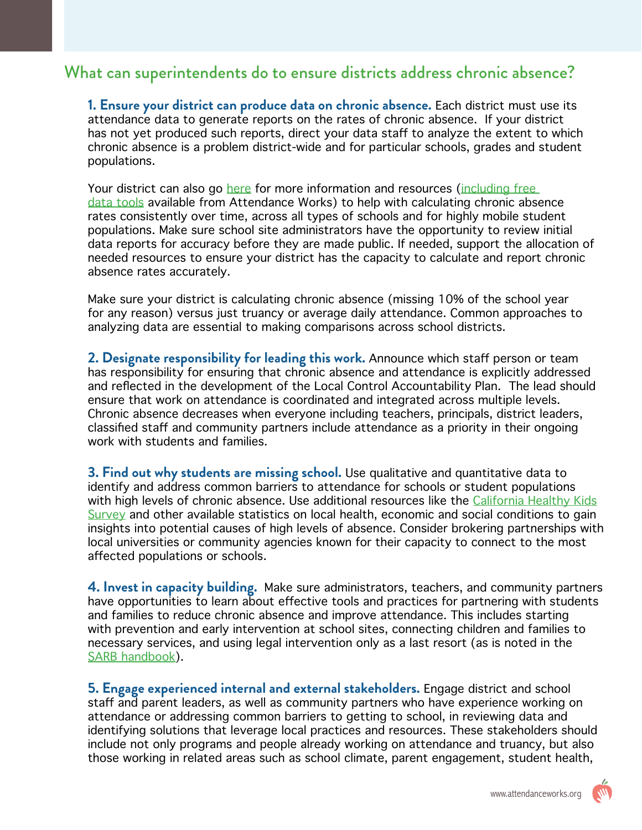## What can superintendents do to ensure districts address chronic absence?

**1. Ensure your district can produce data on chronic absence.** Each district must use its attendance data to generate reports on the rates of chronic absence. If your district has not yet produced such reports, direct your data staff to analyze the extent to which chronic absence is a problem district-wide and for particular schools, grades and student populations.

Your district can also go [here](http://www.attendanceworks.org/wordpress/wp-content/uploads/2013/12/FAQ.pdf) for more information and resources (including free [data tools](http://www.attendanceworks.org/tools/tools-for-calculating-chronic-absence/) available from Attendance Works) to help with calculating chronic absence rates consistently over time, across all types of schools and for highly mobile student populations. Make sure school site administrators have the opportunity to review initial data reports for accuracy before they are made public. If needed, support the allocation of needed resources to ensure your district has the capacity to calculate and report chronic absence rates accurately.

Make sure your district is calculating chronic absence (missing 10% of the school year for any reason) versus just truancy or average daily attendance. Common approaches to analyzing data are essential to making comparisons across school districts.

**2. Designate responsibility for leading this work.** Announce which staff person or team has responsibility for ensuring that chronic absence and attendance is explicitly addressed and reflected in the development of the Local Control Accountability Plan. The lead should ensure that work on attendance is coordinated and integrated across multiple levels. Chronic absence decreases when everyone including teachers, principals, district leaders, classified staff and community partners include attendance as a priority in their ongoing work with students and families.

**3. Find out why students are missing school.** Use qualitative and quantitative data to identify and address common barriers to attendance for schools or student populations with high levels of chronic absence. Use additional resources like the [California Healthy Kids](http://chks.wested.org/) Survey and other available statistics on local health, economic and social conditions to gain insights into potential causes of high levels of absence. Consider brokering partnerships with local universities or community agencies known for their capacity to connect to the most affected populations or schools.

**4. Invest in capacity building.** Make sure administrators, teachers, and community partners have opportunities to learn about effective tools and practices for partnering with students and families to reduce chronic absence and improve attendance. This includes starting with prevention and early intervention at school sites, connecting children and families to necessary services, and using legal intervention only as a last resort (as is noted in the [SARB handbook](http://www.cascwa.org/documents/SARBhandbook42012.pdf)).

**5. Engage experienced internal and external stakeholders.** Engage district and school staff and parent leaders, as well as community partners who have experience working on attendance or addressing common barriers to getting to school, in reviewing data and identifying solutions that leverage local practices and resources. These stakeholders should include not only programs and people already working on attendance and truancy, but also those working in related areas such as school climate, parent engagement, student health,